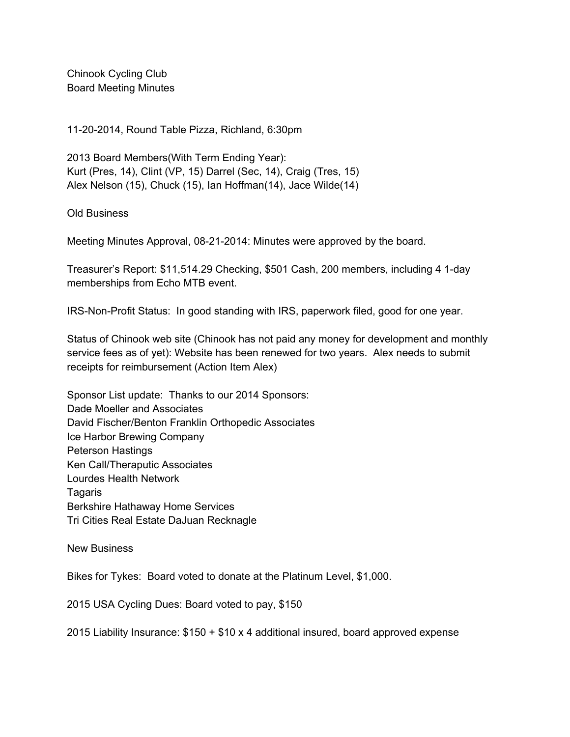Chinook Cycling Club Board Meeting Minutes

11202014, Round Table Pizza, Richland, 6:30pm

2013 Board Members(With Term Ending Year): Kurt (Pres, 14), Clint (VP, 15) Darrel (Sec, 14), Craig (Tres, 15) Alex Nelson (15), Chuck (15), Ian Hoffman(14), Jace Wilde(14)

Old Business

Meeting Minutes Approval, 08-21-2014: Minutes were approved by the board.

Treasurer's Report: \$11,514.29 Checking, \$501 Cash, 200 members, including 4 1-day memberships from Echo MTB event.

IRS-Non-Profit Status: In good standing with IRS, paperwork filed, good for one year.

Status of Chinook web site (Chinook has not paid any money for development and monthly service fees as of yet): Website has been renewed for two years. Alex needs to submit receipts for reimbursement (Action Item Alex)

Sponsor List update: Thanks to our 2014 Sponsors: Dade Moeller and Associates David Fischer/Benton Franklin Orthopedic Associates Ice Harbor Brewing Company Peterson Hastings Ken Call/Theraputic Associates Lourdes Health Network Tagaris Berkshire Hathaway Home Services Tri Cities Real Estate DaJuan Recknagle

New Business

Bikes for Tykes: Board voted to donate at the Platinum Level, \$1,000.

2015 USA Cycling Dues: Board voted to pay, \$150

2015 Liability Insurance: \$150 + \$10 x 4 additional insured, board approved expense